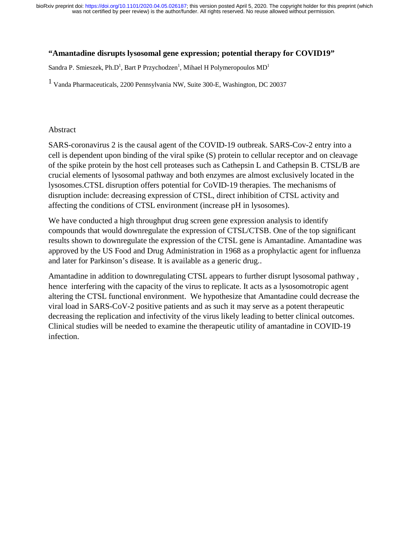#### **"Amantadine disrupts lysosomal gene expression; potential therapy for COVID19"**

Sandra P. Smieszek, Ph.D $^{\rm l}$ , Bart P Przychodzen $^{\rm l}$ , Mihael H Polymeropoulos MD $^{\rm l}$ 

1 Vanda Pharmaceuticals, 2200 Pennsylvania NW, Suite 300-E, Washington, DC 20037

#### Abstract

SARS-coronavirus 2 is the causal agent of the COVID-19 outbreak. SARS-Cov-2 entry into a cell is dependent upon binding of the viral spike (S) protein to cellular receptor and on cleavage of the spike protein by the host cell proteases such as Cathepsin L and Cathepsin B. CTSL/B are crucial elements of lysosomal pathway and both enzymes are almost exclusively located in the lysosomes.CTSL disruption offers potential for CoVID-19 therapies. The mechanisms of disruption include: decreasing expression of CTSL, direct inhibition of CTSL activity and affecting the conditions of CTSL environment (increase pH in lysosomes).

We have conducted a high throughput drug screen gene expression analysis to identify compounds that would downregulate the expression of CTSL/CTSB. One of the top significant results shown to downregulate the expression of the CTSL gene is Amantadine. Amantadine was approved by the US Food and Drug Administration in 1968 as a prophylactic agent for influenza and later for Parkinson's disease. It is available as a generic drug..

Amantadine in addition to downregulating CTSL appears to further disrupt lysosomal pathway , hence interfering with the capacity of the virus to replicate. It acts as a lysosomotropic agent altering the CTSL functional environment. We hypothesize that Amantadine could decrease the viral load in SARS-CoV-2 positive patients and as such it may serve as a potent therapeutic decreasing the replication and infectivity of the virus likely leading to better clinical outcomes. Clinical studies will be needed to examine the therapeutic utility of amantadine in COVID-19 infection.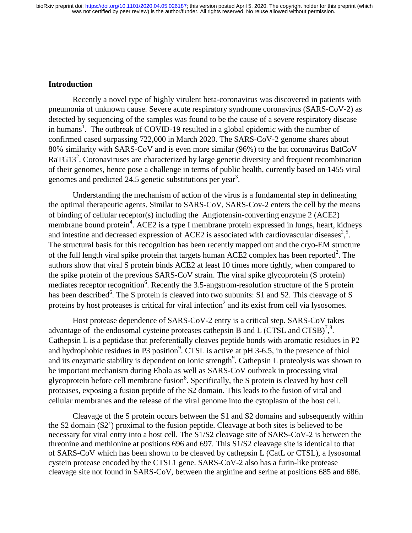#### **Introduction**

Recently a novel type of highly virulent beta-coronavirus was discovered in patients with pneumonia of unknown cause. Severe acute respiratory syndrome coronavirus (SARS-CoV-2) as detected by sequencing of the samples was found to be the cause of a severe respiratory disease in humans<sup>1</sup>. The outbreak of COVID-19 resulted in a global epidemic with the number of confirmed cased surpassing 722,000 in March 2020. The SARS-CoV-2 genome shares about 80% similarity with SARS-CoV and is even more similar (96%) to the bat coronavirus BatCoV RaTG13<sup>2</sup>. Coronaviruses are characterized by large genetic diversity and frequent recombination of their genomes, hence pose a challenge in terms of public health, currently based on 1455 viral genomes and predicted 24.5 genetic substitutions per year<sup>3</sup>.

Understanding the mechanism of action of the virus is a fundamental step in delineating the optimal therapeutic agents. Similar to SARS-CoV, SARS-Cov-2 enters the cell by the means of binding of cellular receptor(s) including the Angiotensin-converting enzyme 2 (ACE2) membrane bound protein<sup>4</sup>. ACE2 is a type I membrane protein expressed in lungs, heart, kidneys and intestine and decreased expression of ACE2 is associated with cardiovascular diseases<sup>2,5</sup>. The structural basis for this recognition has been recently mapped out and the cryo-EM structure of the full length viral spike protein that targets human ACE2 complex has been reported<sup>2</sup>. The authors show that viral S protein binds ACE2 at least 10 times more tightly, when compared to the spike protein of the previous SARS-CoV strain. The viral spike glycoprotein (S protein) mediates receptor recognition<sup>6</sup>. Recently the 3.5-angstrom-resolution structure of the S protein has been described<sup>6</sup>. The S protein is cleaved into two subunits: S1 and S2. This cleavage of S proteins by host proteases is critical for viral infection<sup>2</sup> and its exist from cell via lysosomes.

Host protease dependence of SARS-CoV-2 entry is a critical step. SARS-CoV takes advantage of the endosomal cysteine proteases cathepsin B and L (CTSL and CTSB)<sup>7,8</sup>. Cathepsin L is a peptidase that preferentially cleaves peptide bonds with aromatic residues in P2 and hydrophobic residues in P3 position<sup>9</sup>. CTSL is active at pH 3-6.5, in the presence of thiol and its enzymatic stability is dependent on ionic strength<sup>9</sup>. Cathepsin L proteolysis was shown to be important mechanism during Ebola as well as SARS-CoV outbreak in processing viral glycoprotein before cell membrane fusion<sup>8</sup>. Specifically, the S protein is cleaved by host cell proteases, exposing a fusion peptide of the S2 domain. This leads to the fusion of viral and cellular membranes and the release of the viral genome into the cytoplasm of the host cell.

Cleavage of the S protein occurs between the S1 and S2 domains and subsequently within the S2 domain (S2') proximal to the fusion peptide. Cleavage at both sites is believed to be necessary for viral entry into a host cell. The S1/S2 cleavage site of SARS-CoV-2 is between the threonine and methionine at positions 696 and 697. This S1/S2 cleavage site is identical to that of SARS-CoV which has been shown to be cleaved by cathepsin L (CatL or CTSL), a lysosomal cystein protease encoded by the CTSL1 gene. SARS-CoV-2 also has a furin-like protease cleavage site not found in SARS-CoV, between the arginine and serine at positions 685 and 686.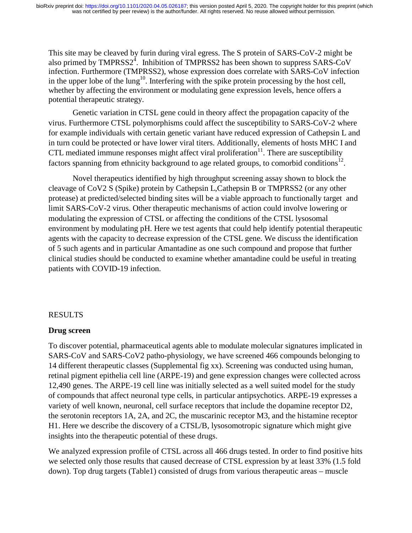This site may be cleaved by furin during viral egress. The S protein of SARS-CoV-2 might be also primed by  $TMPRSS2^4$ . Inhibition of  $TMPRSS2$  has been shown to suppress  $SARS-CoV$ infection. Furthermore (TMPRSS2), whose expression does correlate with SARS-CoV infection in the upper lobe of the lung<sup>10</sup>. Interfering with the spike protein processing by the host cell, whether by affecting the environment or modulating gene expression levels, hence offers a potential therapeutic strategy.

Genetic variation in CTSL gene could in theory affect the propagation capacity of the virus. Furthermore CTSL polymorphisms could affect the susceptibility to SARS-CoV-2 where for example individuals with certain genetic variant have reduced expression of Cathepsin L and in turn could be protected or have lower viral titers. Additionally, elements of hosts MHC I and CTL mediated immune responses might affect viral proliferation $11$ . There are susceptibility factors spanning from ethnicity background to age related groups, to comorbid conditions<sup>12</sup>.

Novel therapeutics identified by high throughput screening assay shown to block the cleavage of CoV2 S (Spike) protein by Cathepsin L,Cathepsin B or TMPRSS2 (or any other protease) at predicted/selected binding sites will be a viable approach to functionally target and limit SARS-CoV-2 virus. Other therapeutic mechanisms of action could involve lowering or modulating the expression of CTSL or affecting the conditions of the CTSL lysosomal environment by modulating pH. Here we test agents that could help identify potential therapeutic agents with the capacity to decrease expression of the CTSL gene. We discuss the identification of 5 such agents and in particular Amantadine as one such compound and propose that further clinical studies should be conducted to examine whether amantadine could be useful in treating patients with COVID-19 infection.

## RESULTS

## **Drug screen**

To discover potential, pharmaceutical agents able to modulate molecular signatures implicated in SARS-CoV and SARS-CoV2 patho-physiology, we have screened 466 compounds belonging to 14 different therapeutic classes (Supplemental fig xx). Screening was conducted using human, retinal pigment epithelia cell line (ARPE-19) and gene expression changes were collected across 12,490 genes. The ARPE-19 cell line was initially selected as a well suited model for the study of compounds that affect neuronal type cells, in particular antipsychotics. ARPE-19 expresses a variety of well known, neuronal, cell surface receptors that include the dopamine receptor D2, the serotonin receptors 1A, 2A, and 2C, the muscarinic receptor M3, and the histamine receptor H1. Here we describe the discovery of a CTSL/B, lysosomotropic signature which might give insights into the therapeutic potential of these drugs.

We analyzed expression profile of CTSL across all 466 drugs tested. In order to find positive hits we selected only those results that caused decrease of CTSL expression by at least 33% (1.5 fold down). Top drug targets (Table1) consisted of drugs from various therapeutic areas – muscle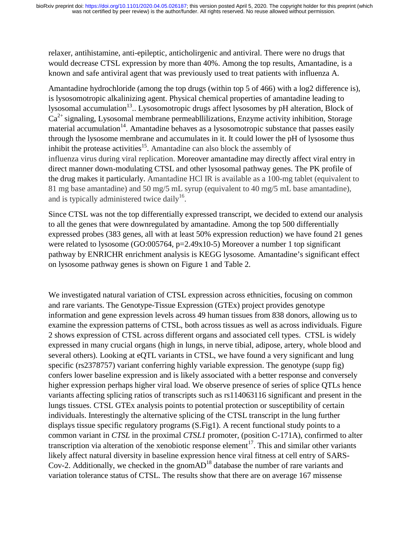relaxer, antihistamine, anti-epileptic, anticholirgenic and antiviral. There were no drugs that would decrease CTSL expression by more than 40%. Among the top results, Amantadine, is a known and safe antiviral agent that was previously used to treat patients with influenza A.

Amantadine hydrochloride (among the top drugs (within top 5 of 466) with a log2 difference is), is lysosomotropic alkalinizing agent. Physical chemical properties of amantadine leading to lysosomal accumulation<sup>13</sup>.. Lysosomotropic drugs affect lysosomes by pH alteration, Block of  $Ca<sup>2+</sup>$  signaling, Lysosomal membrane permeablilizations, Enzyme activity inhibition, Storage material accumulation<sup>14</sup>. Amantadine behaves as a lysosomotropic substance that passes easily through the lysosome membrane and accumulates in it. It could lower the pH of lysosome thus inhibit the protease activities<sup>15</sup>. Amantadine can also block the assembly of influenza virus during viral replication. Moreover amantadine may directly affect viral entry in direct manner down-modulating CTSL and other lysosomal pathway genes. The PK profile of the drug makes it particularly. Amantadine HCl IR is available as a 100-mg tablet (equivalent to 81 mg base amantadine) and 50 mg/5 mL syrup (equivalent to 40 mg/5 mL base amantadine), and is typically administered twice daily<sup>16</sup>.

Since CTSL was not the top differentially expressed transcript, we decided to extend our analysis to all the genes that were downregulated by amantadine. Among the top 500 differentially expressed probes (383 genes, all with at least 50% expression reduction) we have found 21 genes were related to lysosome (GO:005764, p=2.49x10-5) Moreover a number 1 top significant pathway by ENRICHR enrichment analysis is KEGG lysosome. Amantadine's significant effect on lysosome pathway genes is shown on Figure 1 and Table 2.

We investigated natural variation of CTSL expression across ethnicities, focusing on common and rare variants. The Genotype-Tissue Expression (GTEx) project provides genotype information and gene expression levels across 49 human tissues from 838 donors, allowing us to examine the expression patterns of CTSL, both across tissues as well as across individuals. Figure 2 shows expression of CTSL across different organs and associated cell types. CTSL is widely expressed in many crucial organs (high in lungs, in nerve tibial, adipose, artery, whole blood and several others). Looking at eQTL variants in CTSL, we have found a very significant and lung specific (rs2378757) variant conferring highly variable expression. The genotype (supp fig) confers lower baseline expression and is likely associated with a better response and conversely higher expression perhaps higher viral load. We observe presence of series of splice QTLs hence variants affecting splicing ratios of transcripts such as rs114063116 significant and present in the lungs tissues. CTSL GTEx analysis points to potential protection or susceptibility of certain individuals. Interestingly the alternative splicing of the CTSL transcript in the lung further displays tissue specific regulatory programs (S.Fig1). A recent functional study points to a common variant in *CTSL* in the proximal *CTSL1* promoter, (position C-171A), confirmed to alter transcription via alteration of the xenobiotic response element<sup>17</sup>. This and similar other variants likely affect natural diversity in baseline expression hence viral fitness at cell entry of SARS-Cov-2. Additionally, we checked in the gnom $AD^{18}$  database the number of rare variants and variation tolerance status of CTSL. The results show that there are on average 167 missense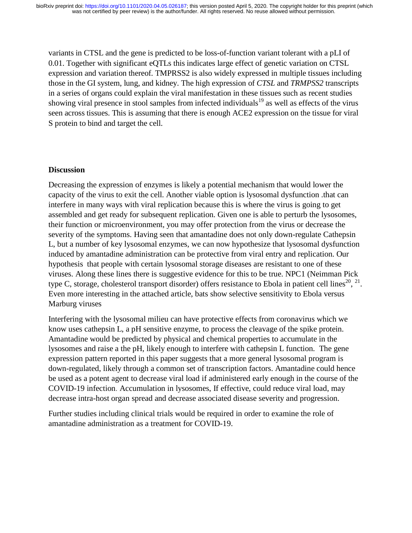variants in CTSL and the gene is predicted to be loss-of-function variant tolerant with a pLI of 0.01. Together with significant eQTLs this indicates large effect of genetic variation on CTSL expression and variation thereof. TMPRSS2 is also widely expressed in multiple tissues including those in the GI system, lung, and kidney. The high expression of *CTSL* and *TRMPSS2* transcripts in a series of organs could explain the viral manifestation in these tissues such as recent studies showing viral presence in stool samples from infected individuals<sup>19</sup> as well as effects of the virus seen across tissues. This is assuming that there is enough ACE2 expression on the tissue for viral S protein to bind and target the cell.

## **Discussion**

Decreasing the expression of enzymes is likely a potential mechanism that would lower the capacity of the virus to exit the cell. Another viable option is lysosomal dysfunction .that can interfere in many ways with viral replication because this is where the virus is going to get assembled and get ready for subsequent replication. Given one is able to perturb the lysosomes, their function or microenvironment, you may offer protection from the virus or decrease the severity of the symptoms. Having seen that amantadine does not only down-regulate Cathepsin L, but a number of key lysosomal enzymes, we can now hypothesize that lysosomal dysfunction induced by amantadine administration can be protective from viral entry and replication. Our hypothesis that people with certain lysosomal storage diseases are resistant to one of these viruses. Along these lines there is suggestive evidence for this to be true. NPC1 (Neimman Pick type C, storage, cholesterol transport disorder) offers resistance to Ebola in patient cell lines<sup>20</sup>, <sup>21</sup>. Even more interesting in the attached article, bats show selective sensitivity to Ebola versus Marburg viruses

Interfering with the lysosomal milieu can have protective effects from coronavirus which we know uses cathepsin L, a pH sensitive enzyme, to process the cleavage of the spike protein. Amantadine would be predicted by physical and chemical properties to accumulate in the lysosomes and raise a the pH, likely enough to interfere with cathepsin L function. The gene expression pattern reported in this paper suggests that a more general lysosomal program is down-regulated, likely through a common set of transcription factors. Amantadine could hence be used as a potent agent to decrease viral load if administered early enough in the course of the COVID-19 infection. Accumulation in lysosomes, If effective, could reduce viral load, may decrease intra-host organ spread and decrease associated disease severity and progression.

Further studies including clinical trials would be required in order to examine the role of amantadine administration as a treatment for COVID-19.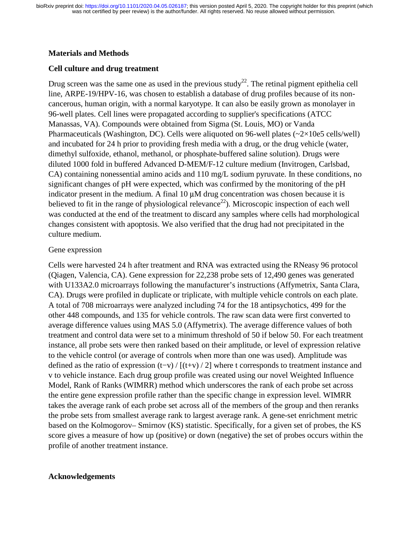### **Materials and Methods**

## **Cell culture and drug treatment**

Drug screen was the same one as used in the previous study<sup>22</sup>. The retinal pigment epithelia cell line, ARPE-19/HPV-16, was chosen to establish a database of drug profiles because of its noncancerous, human origin, with a normal karyotype. It can also be easily grown as monolayer in 96-well plates. Cell lines were propagated according to supplier's specifications (ATCC Manassas, VA). Compounds were obtained from Sigma (St. Louis, MO) or Vanda Pharmaceuticals (Washington, DC). Cells were aliquoted on 96-well plates (~2×10e5 cells/well) and incubated for 24 h prior to providing fresh media with a drug, or the drug vehicle (water, dimethyl sulfoxide, ethanol, methanol, or phosphate-buffered saline solution). Drugs were diluted 1000 fold in buffered Advanced D-MEM/F-12 culture medium (Invitrogen, Carlsbad, CA) containing nonessential amino acids and 110 mg/L sodium pyruvate. In these conditions, no significant changes of pH were expected, which was confirmed by the monitoring of the pH indicator present in the medium. A final 10 μM drug concentration was chosen because it is believed to fit in the range of physiological relevance<sup>22</sup>). Microscopic inspection of each well was conducted at the end of the treatment to discard any samples where cells had morphological changes consistent with apoptosis. We also verified that the drug had not precipitated in the culture medium.

## Gene expression

Cells were harvested 24 h after treatment and RNA was extracted using the RNeasy 96 protocol (Qiagen, Valencia, CA). Gene expression for 22,238 probe sets of 12,490 genes was generated with U133A2.0 microarrays following the manufacturer's instructions (Affymetrix, Santa Clara, CA). Drugs were profiled in duplicate or triplicate, with multiple vehicle controls on each plate. A total of 708 microarrays were analyzed including 74 for the 18 antipsychotics, 499 for the other 448 compounds, and 135 for vehicle controls. The raw scan data were first converted to average difference values using MAS 5.0 (Affymetrix). The average difference values of both treatment and control data were set to a minimum threshold of 50 if below 50. For each treatment instance, all probe sets were then ranked based on their amplitude, or level of expression relative to the vehicle control (or average of controls when more than one was used). Amplitude was defined as the ratio of expression (t−v) / [(t+v) / 2] where t corresponds to treatment instance and v to vehicle instance. Each drug group profile was created using our novel Weighted Influence Model, Rank of Ranks (WIMRR) method which underscores the rank of each probe set across the entire gene expression profile rather than the specific change in expression level. WIMRR takes the average rank of each probe set across all of the members of the group and then reranks the probe sets from smallest average rank to largest average rank. A gene-set enrichment metric based on the Kolmogorov– Smirnov (KS) statistic. Specifically, for a given set of probes, the KS score gives a measure of how up (positive) or down (negative) the set of probes occurs within the profile of another treatment instance.

### **Acknowledgements**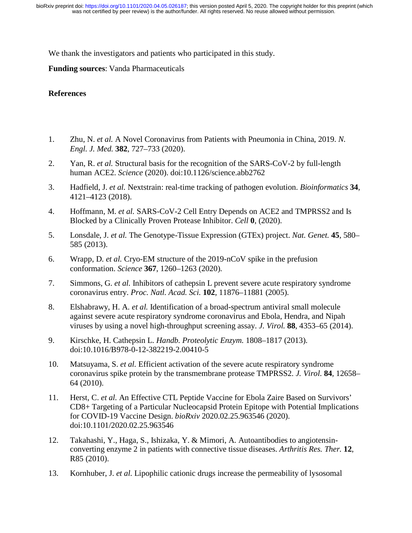We thank the investigators and patients who participated in this study.

**Funding sources**: Vanda Pharmaceuticals

### **References**

- 1. Zhu, N. *et al.* A Novel Coronavirus from Patients with Pneumonia in China, 2019. *N. Engl. J. Med.* **382**, 727–733 (2020).
- 2. Yan, R. *et al.* Structural basis for the recognition of the SARS-CoV-2 by full-length human ACE2. *Science* (2020). doi:10.1126/science.abb2762
- 3. Hadfield, J. *et al.* Nextstrain: real-time tracking of pathogen evolution. *Bioinformatics* **34**, 4121–4123 (2018).
- 4. Hoffmann, M. *et al.* SARS-CoV-2 Cell Entry Depends on ACE2 and TMPRSS2 and Is Blocked by a Clinically Proven Protease Inhibitor. *Cell* **0**, (2020).
- 5. Lonsdale, J. *et al.* The Genotype-Tissue Expression (GTEx) project. *Nat. Genet.* **45**, 580– 585 (2013).
- 6. Wrapp, D. *et al.* Cryo-EM structure of the 2019-nCoV spike in the prefusion conformation. *Science* **367**, 1260–1263 (2020).
- 7. Simmons, G. *et al.* Inhibitors of cathepsin L prevent severe acute respiratory syndrome coronavirus entry. *Proc. Natl. Acad. Sci.* **102**, 11876–11881 (2005).
- 8. Elshabrawy, H. A. *et al.* Identification of a broad-spectrum antiviral small molecule against severe acute respiratory syndrome coronavirus and Ebola, Hendra, and Nipah viruses by using a novel high-throughput screening assay. *J. Virol.* **88**, 4353–65 (2014).
- 9. Kirschke, H. Cathepsin L. *Handb. Proteolytic Enzym.* 1808–1817 (2013). doi:10.1016/B978-0-12-382219-2.00410-5
- 10. Matsuyama, S. *et al.* Efficient activation of the severe acute respiratory syndrome coronavirus spike protein by the transmembrane protease TMPRSS2. *J. Virol.* **84**, 12658– 64 (2010).
- 11. Herst, C. *et al.* An Effective CTL Peptide Vaccine for Ebola Zaire Based on Survivors' CD8+ Targeting of a Particular Nucleocapsid Protein Epitope with Potential Implications for COVID-19 Vaccine Design. *bioRxiv* 2020.02.25.963546 (2020). doi:10.1101/2020.02.25.963546
- 12. Takahashi, Y., Haga, S., Ishizaka, Y. & Mimori, A. Autoantibodies to angiotensinconverting enzyme 2 in patients with connective tissue diseases. *Arthritis Res. Ther.* **12**, R85 (2010).
- 13. Kornhuber, J. *et al.* Lipophilic cationic drugs increase the permeability of lysosomal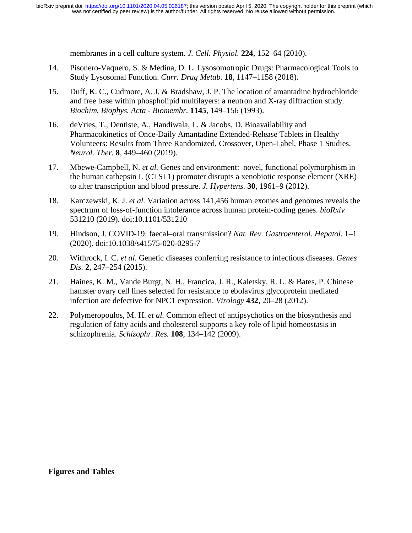membranes in a cell culture system. *J. Cell. Physiol.* **224**, 152–64 (2010).

- 14. Pisonero-Vaquero, S. & Medina, D. L. Lysosomotropic Drugs: Pharmacological Tools to Study Lysosomal Function. *Curr. Drug Metab.* **18**, 1147–1158 (2018).
- 15. Duff, K. C., Cudmore, A. J. & Bradshaw, J. P. The location of amantadine hydrochloride and free base within phospholipid multilayers: a neutron and X-ray diffraction study. *Biochim. Biophys. Acta - Biomembr.* **1145**, 149–156 (1993).
- 16. deVries, T., Dentiste, A., Handiwala, L. & Jacobs, D. Bioavailability and Pharmacokinetics of Once-Daily Amantadine Extended-Release Tablets in Healthy Volunteers: Results from Three Randomized, Crossover, Open-Label, Phase 1 Studies. *Neurol. Ther.* **8**, 449–460 (2019).
- 17. Mbewe-Campbell, N. *et al.* Genes and environment: novel, functional polymorphism in the human cathepsin L (CTSL1) promoter disrupts a xenobiotic response element (XRE) to alter transcription and blood pressure. *J. Hypertens.* **30**, 1961–9 (2012).
- 18. Karczewski, K. J. *et al.* Variation across 141,456 human exomes and genomes reveals the spectrum of loss-of-function intolerance across human protein-coding genes. *bioRxiv* 531210 (2019). doi:10.1101/531210
- 19. Hindson, J. COVID-19: faecal–oral transmission? *Nat. Rev. Gastroenterol. Hepatol.* 1–1 (2020). doi:10.1038/s41575-020-0295-7
- 20. Withrock, I. C. *et al.* Genetic diseases conferring resistance to infectious diseases. *Genes Dis.* **2**, 247–254 (2015).
- 21. Haines, K. M., Vande Burgt, N. H., Francica, J. R., Kaletsky, R. L. & Bates, P. Chinese hamster ovary cell lines selected for resistance to ebolavirus glycoprotein mediated infection are defective for NPC1 expression. *Virology* **432**, 20–28 (2012).
- 22. Polymeropoulos, M. H. *et al.* Common effect of antipsychotics on the biosynthesis and regulation of fatty acids and cholesterol supports a key role of lipid homeostasis in schizophrenia. *Schizophr. Res.* **108**, 134–142 (2009).

**Figures and Tables**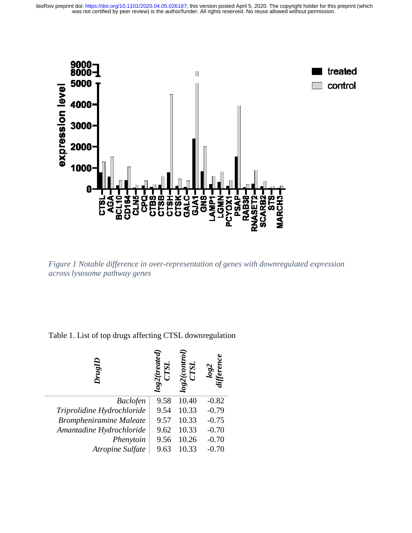

*Figure 1 Notable difference in over-representation of genes with downregulated expression across lysosome pathway genes* 

Table 1. List of top drugs affecting CTSL downregulation

| $_{\nu_{\nu g I}}$             | log2( | $T\mathrm{SL}$<br>log2( |         |
|--------------------------------|-------|-------------------------|---------|
| <b>Baclofen</b>                | 9.58  | 10.40                   | $-0.82$ |
| Triprolidine Hydrochloride     | 9.54  | 10.33                   | $-0.79$ |
| <b>Brompheniramine Maleate</b> | 9.57  | 10.33                   | $-0.75$ |
| Amantadine Hydrochloride       | 9.62  | 10.33                   | $-0.70$ |
| Phenytoin                      | 9.56  | 10.26                   | $-0.70$ |
| Atropine Sulfate               | 9.63  | 10.33                   | $-0.70$ |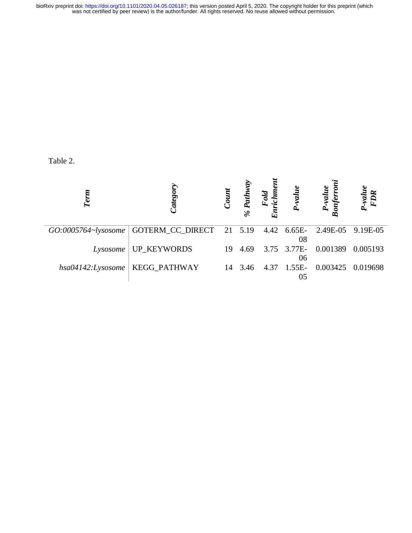## Table 2.

| Term              | Category                                                            | Count | Pathway<br>$\%$ | Fold<br>Enrichmo | P-value           | P-value<br>onferroi  | $P-value$<br>Enn |
|-------------------|---------------------------------------------------------------------|-------|-----------------|------------------|-------------------|----------------------|------------------|
|                   | GO:0005764~lysosome   GOTERM_CC_DIRECT 21 5.19 4.42 6.65E- 2.49E-05 |       |                 |                  | 08                |                      | 9.19E-05         |
| Lysosome          | <b>UP_KEYWORDS</b>                                                  | 19    | 4.69            |                  | 06                | 3.75 3.77E- 0.001389 | 0.005193         |
| hsa04142:Lysosome | KEGG_PATHWAY                                                        |       | 14 3.46         |                  | 4.37 1.55E-<br>05 | 0.003425             | 0.019698         |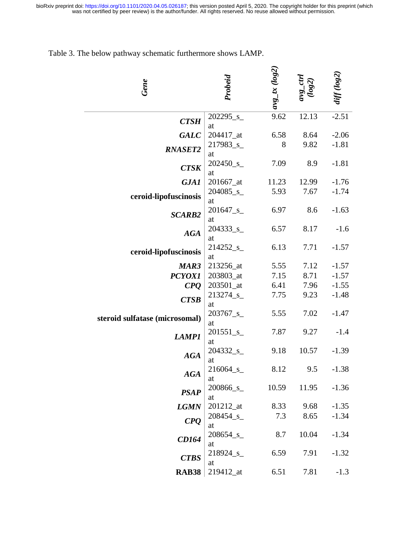Table 3. The below pathway schematic furthermore shows LAMP.

| Gene                           | Probeid                        | $avg\_tx$ ( $log2$ ) |       | diff (log2 |
|--------------------------------|--------------------------------|----------------------|-------|------------|
| <b>CTSH</b>                    | $202295$ <sub>-S</sub>         | 9.62                 | 12.13 | $-2.51$    |
|                                | at                             |                      |       |            |
| <b>GALC</b>                    | 204417_at                      | 6.58                 | 8.64  | $-2.06$    |
| <b>RNASET2</b>                 | 217983_s_                      | 8                    | 9.82  | $-1.81$    |
| <b>CTSK</b>                    | at<br>202450_s_                | 7.09                 | 8.9   | $-1.81$    |
|                                | at                             |                      |       |            |
| <b>GJA1</b>                    | 201667_at                      | 11.23                | 12.99 | $-1.76$    |
|                                | $204085$ <sub>_S</sub> _       | 5.93                 | 7.67  | $-1.74$    |
| ceroid-lipofuscinosis          | at                             |                      |       |            |
| <b>SCARB2</b><br><b>AGA</b>    | 201647_s_                      | 6.97                 | 8.6   | $-1.63$    |
|                                | at                             |                      |       |            |
|                                | $204333$ <sub>_S</sub> _       | 6.57                 | 8.17  | $-1.6$     |
|                                | at                             |                      |       |            |
| ceroid-lipofuscinosis          | $214252$ <sub>_S</sub> _<br>at | 6.13                 | 7.71  | $-1.57$    |
| MAR3                           | 213256_at                      | 5.55                 | 7.12  | $-1.57$    |
| <b>PCYOX1</b>                  | 203803_at                      | 7.15                 | 8.71  | $-1.57$    |
| C P Q                          | 203501_at                      | 6.41                 | 7.96  | $-1.55$    |
|                                | 213274_s_                      | 7.75                 | 9.23  | $-1.48$    |
| <b>CTSB</b>                    | at                             |                      |       |            |
|                                | $203767$ <sub>-S</sub>         | 5.55                 | 7.02  | $-1.47$    |
| steroid sulfatase (microsomal) | at                             |                      |       |            |
| <b>LAMP1</b>                   | $201551$ <sub>_S</sub> _       | 7.87                 | 9.27  | $-1.4$     |
|                                | at                             |                      |       |            |
| <b>AGA</b>                     | 204332 <sub>_S_</sub>          | 9.18                 | 10.57 | $-1.39$    |
|                                | at<br>216064_s_                | 8.12                 | 9.5   | $-1.38$    |
| <b>AGA</b>                     | at                             |                      |       |            |
|                                | 200866_s_                      | 10.59                | 11.95 | $-1.36$    |
| <b>PSAP</b>                    | at                             |                      |       |            |
| <b>LGMN</b>                    | $201212$ _at                   | 8.33                 | 9.68  | $-1.35$    |
| C P Q                          | $208454$ <sub>_S_</sub>        | 7.3                  | 8.65  | $-1.34$    |
|                                | at                             |                      |       |            |
| <b>CD164</b><br><b>CTBS</b>    | $208654$ <sub>-S</sub>         | 8.7                  | 10.04 | $-1.34$    |
|                                | at                             |                      |       |            |
|                                | 218924 <sub>_S_</sub><br>at    | 6.59                 | 7.91  | $-1.32$    |
| <b>RAB38</b>                   | 219412_at                      | 6.51                 | 7.81  | $-1.3$     |
|                                |                                |                      |       |            |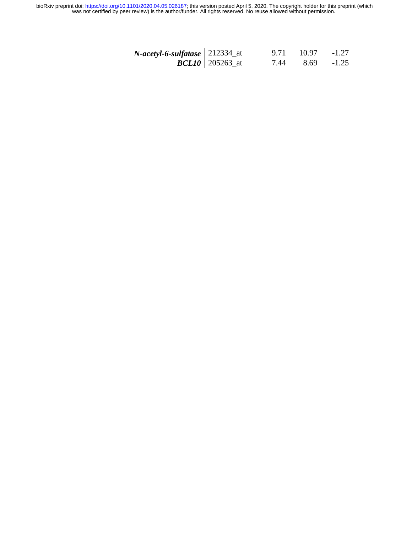| $N$ -acetyl-6-sulfatase   212334_at |                          | 9.71 | - 10.97 | $-1.27$ |
|-------------------------------------|--------------------------|------|---------|---------|
|                                     | <b>BCL10</b>   205263_at | 7.44 | 8.69    | $-1.25$ |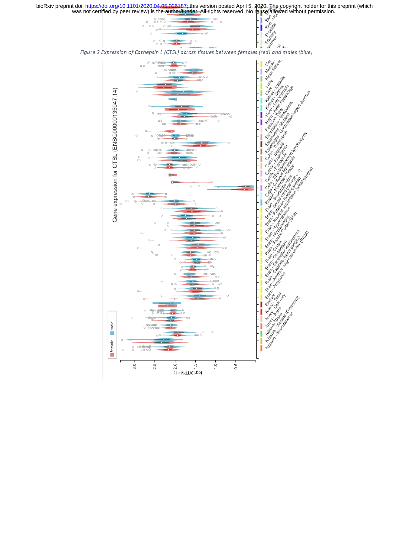England Skin

montagement



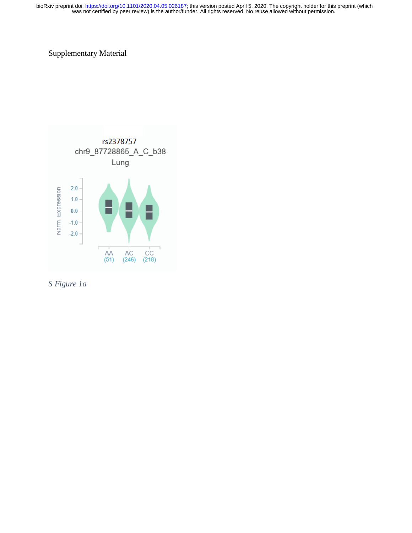# Supplementary Material



*S Figure 1a*